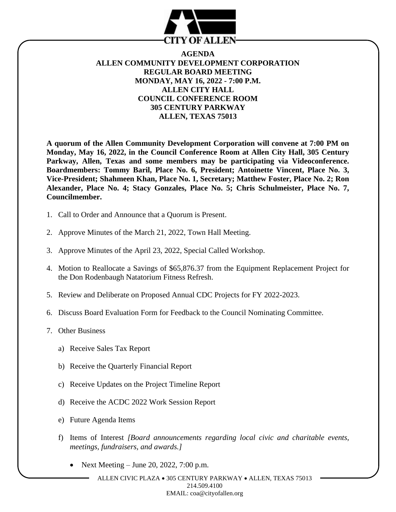

## **AGENDA ALLEN COMMUNITY DEVELOPMENT CORPORATION REGULAR BOARD MEETING MONDAY, MAY 16, 2022 - 7:00 P.M. ALLEN CITY HALL COUNCIL CONFERENCE ROOM 305 CENTURY PARKWAY ALLEN, TEXAS 75013**

**A quorum of the Allen Community Development Corporation will convene at 7:00 PM on Monday, May 16, 2022, in the Council Conference Room at Allen City Hall, 305 Century Parkway, Allen, Texas and some members may be participating via Videoconference. Boardmembers: Tommy Baril, Place No. 6, President; Antoinette Vincent, Place No. 3, Vice-President; Shahmeen Khan, Place No. 1, Secretary; Matthew Foster, Place No. 2; Ron Alexander, Place No. 4; Stacy Gonzales, Place No. 5; Chris Schulmeister, Place No. 7, Councilmember.**

- 1. Call to Order and Announce that a Quorum is Present.
- 2. Approve Minutes of the March 21, 2022, Town Hall Meeting.
- 3. Approve Minutes of the April 23, 2022, Special Called Workshop.
- 4. Motion to Reallocate a Savings of \$65,876.37 from the Equipment Replacement Project for the Don Rodenbaugh Natatorium Fitness Refresh.
- 5. Review and Deliberate on Proposed Annual CDC Projects for FY 2022-2023.
- 6. Discuss Board Evaluation Form for Feedback to the Council Nominating Committee.
- 7. Other Business
	- a) Receive Sales Tax Report
	- b) Receive the Quarterly Financial Report
	- c) Receive Updates on the Project Timeline Report
	- d) Receive the ACDC 2022 Work Session Report
	- e) Future Agenda Items
	- f) Items of Interest *[Board announcements regarding local civic and charitable events, meetings, fundraisers, and awards.]*
		- Next Meeting June 20, 2022, 7:00 p.m.

ALLEN CIVIC PLAZA • 305 CENTURY PARKWAY • ALLEN, TEXAS 75013 214.509.4100 EMAIL: coa@cityofallen.org